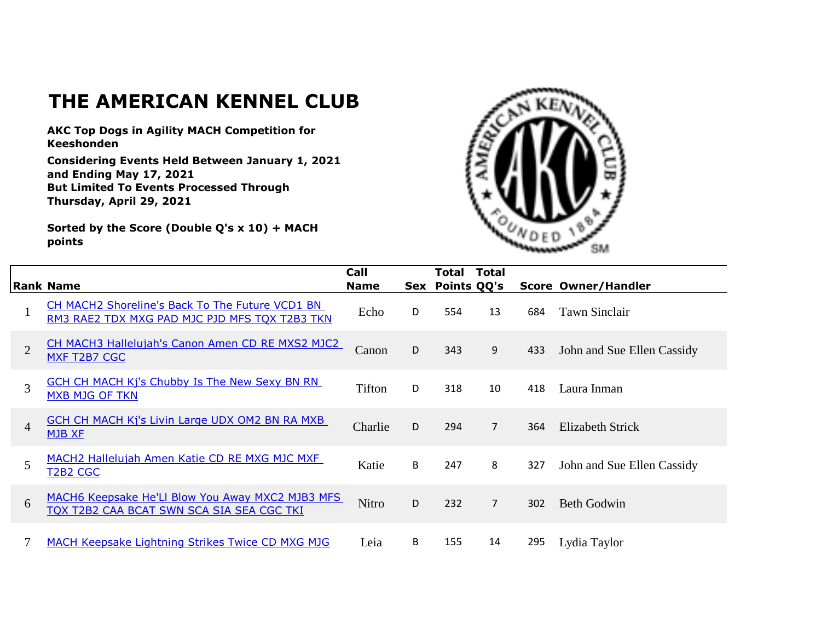## **THE AMERICAN KENNEL CLUB**

**AKC Top Dogs in Agility MACH Competition for Keeshonden**

**Considering Events Held Between January 1, 2021 and Ending May 17, 2021 But Limited To Events Processed Through Thursday, April 29, 2021**

**Sorted by the Score (Double Q's x 10) + MACH points**



|                | <b>Rank Name</b>                                                                                 | Call<br><b>Name</b> |   | Total<br>Sex Points QQ's | <b>Total</b>   |     | <b>Score Owner/Handler</b> |
|----------------|--------------------------------------------------------------------------------------------------|---------------------|---|--------------------------|----------------|-----|----------------------------|
|                | CH MACH2 Shoreline's Back To The Future VCD1 BN<br>RM3 RAE2 TDX MXG PAD MJC PJD MFS TQX T2B3 TKN | Echo                | D | 554                      | 13             | 684 | Tawn Sinclair              |
| 2              | CH MACH3 Hallelujah's Canon Amen CD RE MXS2 MJC2<br>MXF T2B7 CGC                                 | Canon               | D | 343                      | 9              | 433 | John and Sue Ellen Cassidy |
| 3              | <b>GCH CH MACH Kj's Chubby Is The New Sexy BN RN</b><br><b>MXB MJG OF TKN</b>                    | Tifton              | D | 318                      | 10             | 418 | Laura Inman                |
| $\overline{4}$ | <b>GCH CH MACH Kj's Livin Large UDX OM2 BN RA MXB</b><br><b>MJB XF</b>                           | Charlie             | D | 294                      | $\overline{7}$ | 364 | <b>Elizabeth Strick</b>    |
| 5              | MACH2 Hallelujah Amen Katie CD RE MXG MJC MXF<br><b>T2B2 CGC</b>                                 | Katie               | B | 247                      | 8              | 327 | John and Sue Ellen Cassidy |
| 6              | MACH6 Keepsake He'Ll Blow You Away MXC2 MJB3 MFS<br>TOX T2B2 CAA BCAT SWN SCA SIA SEA CGC TKI    | <b>Nitro</b>        | D | 232                      | $\overline{7}$ | 302 | <b>Beth Godwin</b>         |
|                | <b>MACH Keepsake Lightning Strikes Twice CD MXG MJG</b>                                          | Leia                | B | 155                      | 14             | 295 | Lydia Taylor               |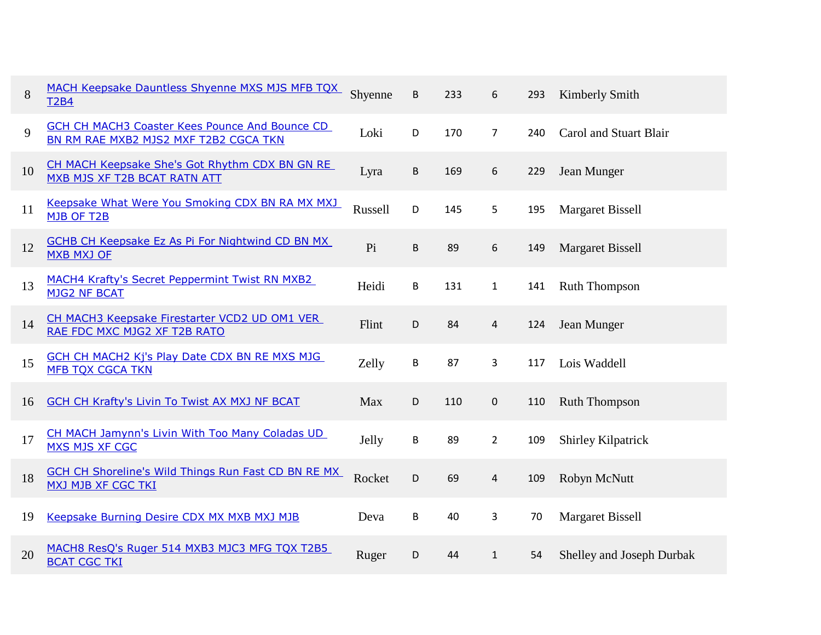| 8  | MACH Keepsake Dauntless Shyenne MXS MJS MFB TQX<br><b>T2B4</b>                                 | Shyenne | B | 233 | 6                       | 293 | Kimberly Smith            |
|----|------------------------------------------------------------------------------------------------|---------|---|-----|-------------------------|-----|---------------------------|
| 9  | <b>GCH CH MACH3 Coaster Kees Pounce And Bounce CD</b><br>BN RM RAE MXB2 MJS2 MXF T2B2 CGCA TKN | Loki    | D | 170 | $\overline{7}$          | 240 | Carol and Stuart Blair    |
| 10 | CH MACH Keepsake She's Got Rhythm CDX BN GN RE<br>MXB MJS XF T2B BCAT RATN ATT                 | Lyra    | B | 169 | 6                       | 229 | Jean Munger               |
| 11 | Keepsake What Were You Smoking CDX BN RA MX MXJ<br>MJB OF T2B                                  | Russell | D | 145 | 5                       | 195 | <b>Margaret Bissell</b>   |
| 12 | <b>GCHB CH Keepsake Ez As Pi For Nightwind CD BN MX</b><br><b>MXB MXJ OF</b>                   | Pi      | B | 89  | 6                       | 149 | <b>Margaret Bissell</b>   |
| 13 | MACH4 Krafty's Secret Peppermint Twist RN MXB2<br><b>MJG2 NF BCAT</b>                          | Heidi   | B | 131 | $\mathbf{1}$            | 141 | <b>Ruth Thompson</b>      |
| 14 | CH MACH3 Keepsake Firestarter VCD2 UD OM1 VER<br>RAE FDC MXC MJG2 XF T2B RATO                  | Flint   | D | 84  | 4                       | 124 | Jean Munger               |
| 15 | <b>GCH CH MACH2 Kj's Play Date CDX BN RE MXS MJG</b><br><b>MFB TQX CGCA TKN</b>                | Zelly   | B | 87  | 3                       | 117 | Lois Waddell              |
| 16 | <b>GCH CH Krafty's Livin To Twist AX MXJ NF BCAT</b>                                           | Max     | D | 110 | 0                       | 110 | Ruth Thompson             |
| 17 | CH MACH Jamynn's Livin With Too Many Coladas UD<br>MXS MJS XF CGC                              | Jelly   | B | 89  | $\overline{2}$          | 109 | Shirley Kilpatrick        |
| 18 | <b>GCH CH Shoreline's Wild Things Run Fast CD BN RE MX</b><br><b>MXJ MJB XF CGC TKI</b>        | Rocket  | D | 69  | $\overline{\mathbf{r}}$ | 109 | Robyn McNutt              |
| 19 | Keepsake Burning Desire CDX MX MXB MXJ MJB                                                     | Deva    | B | 40  | 3                       | 70  | <b>Margaret Bissell</b>   |
| 20 | MACH8 ResQ's Ruger 514 MXB3 MJC3 MFG TQX T2B5<br><b>BCAT CGC TKI</b>                           | Ruger   | D | 44  | $\mathbf{1}$            | 54  | Shelley and Joseph Durbak |